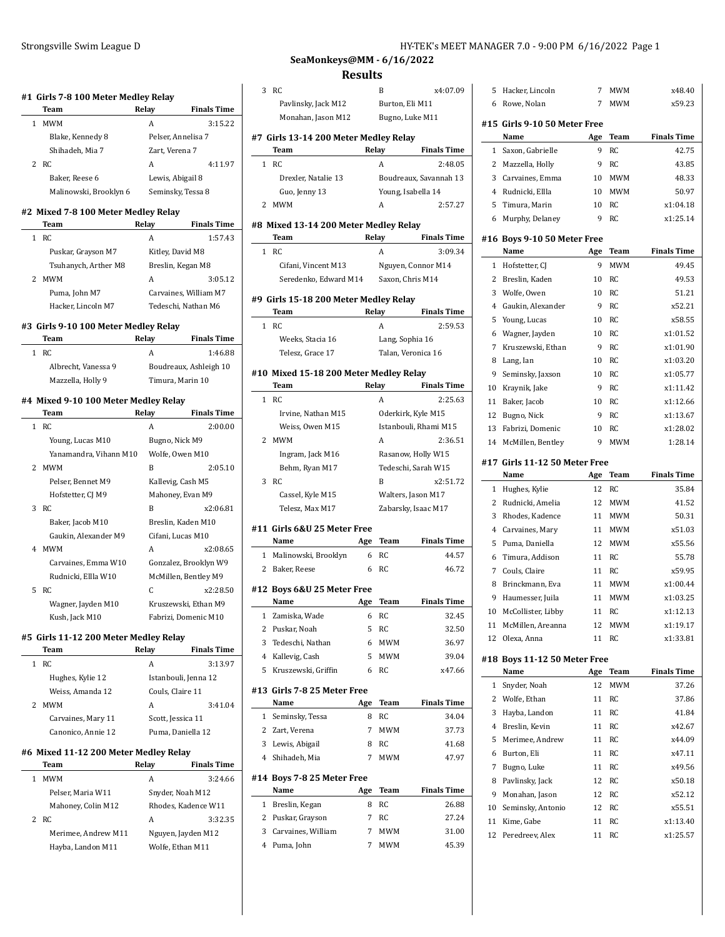| Team                                             | Relay        | <b>Finals Time</b>                                                          |
|--------------------------------------------------|--------------|-----------------------------------------------------------------------------|
| 1 MWM                                            | A            | 3:15.22                                                                     |
| Blake, Kennedy 8                                 |              | Pelser, Annelisa 7                                                          |
| Shihadeh, Mia 7                                  |              | Zart, Verena 7                                                              |
| <b>RC</b><br>2                                   | A            | 4:11.97                                                                     |
| Baker, Reese 6                                   |              | Lewis, Abigail 8                                                            |
| Malinowski, Brooklyn 6 Seminsky, Tessa 8         |              |                                                                             |
| #2 Mixed 7-8 100 Meter Medley Relay              |              |                                                                             |
| Team                                             | Relay        | <b>Finals Time</b>                                                          |
| <b>RC</b><br>$\mathbf{1}$                        | A            | 1:57.43                                                                     |
| Puskar, Grayson M7                               |              | Kitley, David M8                                                            |
| Tsuhanych, Arther M8                             |              | Breslin, Kegan M8                                                           |
| MWM<br>2                                         | A            | 3:05.12                                                                     |
| Puma, John M7                                    |              | Carvaines, William M7                                                       |
| Hacker, Lincoln M7                               |              | Tedeschi, Nathan M6                                                         |
| #3 Girls 9-10 100 Meter Medley Relay             |              |                                                                             |
|                                                  |              |                                                                             |
| Team                                             | <b>Relay</b> |                                                                             |
| 1 RC                                             | A            |                                                                             |
| Albrecht, Vanessa 9                              |              |                                                                             |
| Mazzella, Holly 9                                |              | <b>Finals Time</b><br>1:46.88<br>Boudreaux, Ashleigh 10<br>Timura, Marin 10 |
|                                                  |              |                                                                             |
| Team                                             | Relay        | <b>Finals Time</b>                                                          |
| 1 RC                                             | A            | 2:00.00                                                                     |
| Young, Lucas M10                                 |              | Bugno, Nick M9                                                              |
| Yanamandra, Vihann M10                           |              | Wolfe, Owen M10                                                             |
| #4 Mixed 9-10 100 Meter Medley Relay<br>2<br>MWM | B            |                                                                             |
| Pelser, Bennet M9                                |              | 2:05.10<br>Kallevig, Cash M5                                                |
| Hofstetter, CJ M9                                |              | Mahoney, Evan M9                                                            |
| 3<br>RC.                                         | B            | x2:06.81                                                                    |
| Baker, Jacob M10                                 |              | Breslin, Kaden M10                                                          |
| Gaukin, Alexander M9                             |              | Cifani, Lucas M10                                                           |
| <b>MWM</b><br>$\overline{4}$                     | A            | x2:08.65                                                                    |
| Carvaines, Emma W10                              |              | Gonzalez, Brooklyn W9                                                       |
| Rudnicki, Ellla W10                              |              | McMillen, Bentley M9                                                        |
| 5<br><b>RC</b><br>Wagner, Jayden M10             | C            | x2:28.50<br>Kruszewski, Ethan M9                                            |

| RC.                | А                    | 3:13.97 |
|--------------------|----------------------|---------|
| Hughes, Kylie 12   | Istanbouli, Jenna 12 |         |
| Weiss, Amanda 12   | Couls, Claire 11     |         |
| MWM                | А                    | 3:41.04 |
| Carvaines, Mary 11 | Scott, Jessica 11    |         |
| Canonico, Annie 12 | Puma, Daniella 12    |         |

# **#6 Mixed 11-12 200 Meter Medley Relay**

|  | Team                | Relav | <b>Finals Time</b>  |
|--|---------------------|-------|---------------------|
|  | MWM                 | А     | 3:24.66             |
|  | Pelser, Maria W11   |       | Snyder, Noah M12    |
|  | Mahoney, Colin M12  |       | Rhodes, Kadence W11 |
|  | 2 RC                | А     | 3:32.35             |
|  | Merimee, Andrew M11 |       | Nguyen, Jayden M12  |
|  | Hayba, Landon M11   |       | Wolfe, Ethan M11    |
|  |                     |       |                     |

# **SeaMonkeys@MM - 6/16/2022 Results**

| 3            | RC                                     |       | B               | x4:07.09               |  |
|--------------|----------------------------------------|-------|-----------------|------------------------|--|
|              | Pavlinsky, Jack M12                    |       | Burton, Eli M11 |                        |  |
|              | Monahan, Jason M12                     |       |                 | Bugno, Luke M11        |  |
|              | #7  Girls 13-14 200 Meter Medley Relay |       |                 |                        |  |
|              | Team                                   | Relay |                 | <b>Finals Time</b>     |  |
| $\mathbf{1}$ | RC                                     |       | A               | 2:48.05                |  |
|              | Drexler, Natalie 13                    |       |                 | Boudreaux, Savannah 13 |  |
|              | Guo, Jenny 13                          |       |                 | Young, Isabella 14     |  |
| 2            | <b>MWM</b>                             |       | A               | 2:57.27                |  |
|              | #8 Mixed 13-14 200 Meter Medley Relay  |       |                 |                        |  |
|              | <b>Team</b>                            |       | Relay           | Finals Time            |  |
| $\mathbf{1}$ | RC                                     |       | A               | 3:09.34                |  |
|              | Cifani, Vincent M13                    |       |                 | Nguyen, Connor M14     |  |
|              | Seredenko, Edward M14 Saxon, Chris M14 |       |                 |                        |  |
|              |                                        |       |                 |                        |  |
|              | #9  Girls 15-18 200 Meter Medley Relay |       |                 |                        |  |
|              | Team                                   |       | Relay           | <b>Finals Time</b>     |  |
| 1            | <b>RC</b>                              |       | A               | 2:59.53                |  |
|              | Weeks, Stacia 16                       |       | Lang, Sophia 16 |                        |  |
|              | Telesz, Grace 17                       |       |                 | Talan, Veronica 16     |  |
|              | #10 Mixed 15-18 200 Meter Medley Relay |       |                 |                        |  |
|              | Team                                   |       | Relay           | <b>Finals Time</b>     |  |
| 1            | <b>RC</b>                              |       | A               | 2:25.63                |  |
|              | Irvine, Nathan M15                     |       |                 | Oderkirk, Kyle M15     |  |
|              | Weiss, Owen M15                        |       |                 | Istanbouli, Rhami M15  |  |
| 2            | <b>MWM</b>                             |       | A               | 2:36.51                |  |
|              | Ingram, Jack M16                       |       |                 | Rasanow, Holly W15     |  |
|              | Behm, Ryan M17                         |       |                 | Tedeschi, Sarah W15    |  |
| 3            | RC                                     |       | B               | x2:51.72               |  |
|              | Cassel, Kyle M15                       |       |                 | Walters, Jason M17     |  |
|              |                                        |       |                 |                        |  |
|              | Telesz, Max M17                        |       |                 | Zabarsky, Isaac M17    |  |
|              | #11  Girls 6&U 25 Meter Free           |       |                 |                        |  |
|              | Name                                   | Age   | Team            | <b>Finals Time</b>     |  |
|              | 1 Malinowski, Brooklyn                 | 6     | RC              | 44.57                  |  |
|              | 2 Baker, Reese                         | 6     | RC.             | 46.72                  |  |
|              | #12 Boys 6&U 25 Meter Free             |       |                 |                        |  |
|              | Name                                   | Age   | Team            | <b>Finals Time</b>     |  |
| 1            | Zamiska, Wade                          | 6     | RC              | 32.45                  |  |
| 2            | Puskar, Noah                           | 5     | RC              | 32.50                  |  |
| 3            | Tedeschi, Nathan                       | 6     | <b>MWM</b>      | 36.97                  |  |
| 4            | Kallevig, Cash                         | 5     | MWM             | 39.04                  |  |
| 5            | Kruszewski, Griffin                    | 6     | RC              | x47.66                 |  |
|              |                                        |       |                 |                        |  |
|              | #13 Girls 7-8 25 Meter Free            |       |                 |                        |  |
|              | Name                                   | Age   | Team            | <b>Finals Time</b>     |  |
| 1            | Seminsky, Tessa                        | 8     | RC              | 34.04                  |  |
| 2            | Zart, Verena                           | 7     | <b>MWM</b>      | 37.73                  |  |
| 3            | Lewis, Abigail                         | 8     | <b>RC</b>       | 41.68                  |  |
| 4            | Shihadeh, Mia                          | 7     | <b>MWM</b>      | 47.97                  |  |
|              |                                        |       |                 |                        |  |
|              | #14 Boys 7-8 25 Meter Free<br>Name     | Age   | Team            | <b>Finals Time</b>     |  |
| 1            |                                        | 8     | RC              | 26.88                  |  |
|              | Breslin, Kegan                         | 7     |                 |                        |  |
|              | 2 Puskar, Grayson                      |       | RC              | 27.24                  |  |
| 3            | Carvaines, William                     | 7     | MWM             | 31.00                  |  |
| 4            | Puma, John                             | 7     | MWM             | 45.39                  |  |
|              |                                        |       |                 |                        |  |

| 5              | Hacker, Lincoln                      | 7        | MWM        | x48.40             |
|----------------|--------------------------------------|----------|------------|--------------------|
| 6              | Rowe, Nolan                          | 7        | <b>MWM</b> | x59.23             |
|                |                                      |          |            |                    |
| #15            | Girls 9-10 50 Meter Free<br>Name     |          | Team       | <b>Finals Time</b> |
|                |                                      | Age<br>9 | RC         | 42.75              |
| 1              | Saxon, Gabrielle                     |          |            |                    |
| 2              | Mazzella, Holly                      | 9        | RC         | 43.85              |
| 3              | Carvaines, Emma                      | 10       | <b>MWM</b> | 48.33              |
| $\overline{4}$ | Rudnicki, Ellla                      | 10       | MWM        | 50.97              |
| 5              | Timura, Marin                        | 10       | RC         | x1:04.18           |
| 6              | Murphy, Delaney                      | 9        | RC         | x1:25.14           |
|                | #16  Boys 9-10 50 Meter Free         |          |            |                    |
|                | Name                                 | Age      | Team       | <b>Finals Time</b> |
| 1              | Hofstetter, CJ                       | 9        | MWM        | 49.45              |
| 2              | Breslin, Kaden                       | 10       | RC         | 49.53              |
| 3              | Wolfe, Owen                          | 10       | RC         | 51.21              |
| 4              | Gaukin, Alexander                    | 9        | RC         | x52.21             |
| 5              | Young, Lucas                         | 10       | RC         | x58.55             |
| 6              | Wagner, Jayden                       | 10       | RC         | x1:01.52           |
| 7              | Kruszewski, Ethan                    | 9        | RC         | x1:01.90           |
| 8              | Lang, Ian                            | 10       | RC         | x1:03.20           |
| 9              | Seminsky, Jaxson                     | 10       | RC         | x1:05.77           |
| 10             | Kraynik, Jake                        | 9        | <b>RC</b>  | x1:11.42           |
| 11             | Baker, Jacob                         | 10       | RC         | x1:12.66           |
| 12             | Bugno, Nick                          | 9        | RC         | x1:13.67           |
| 13             | Fabrizi, Domenic                     | 10       | <b>RC</b>  | x1:28.02           |
| 14             | McMillen, Bentley                    | 9        | <b>MWM</b> | 1:28.14            |
|                |                                      |          |            |                    |
| #17            | Girls 11-12 50 Meter Free            |          |            |                    |
|                |                                      |          |            |                    |
|                | Name                                 | Age      | Team       | <b>Finals Time</b> |
| 1              | Hughes, Kylie                        | 12       | RC         | 35.84              |
| 2              | Rudnicki, Amelia                     | 12       | MWM        | 41.52              |
| 3              | Rhodes, Kadence                      | 11       | MWM        | 50.31              |
| 4              | Carvaines, Mary                      | 11       | <b>MWM</b> | x51.03             |
| 5              | Puma, Daniella                       | 12       | <b>MWM</b> | x55.56             |
| 6              | Timura, Addison                      | 11       | RC         | 55.78              |
| 7              | Couls, Claire                        | 11       | RC         | x59.95             |
| 8              | Brinckmann, Eva                      | 11       | MWM        | x1:00.44           |
| 9              | Haumesser, Juila                     | 11       | <b>MWM</b> | x1:03.25           |
| 10             | McCollister, Libby                   | 11       | RC         | x1:12.13           |
| 11             | McMillen, Areanna                    | 12       | <b>MWM</b> | x1:19.17           |
| 12             | Olexa, Anna                          | 11       | RC         | x1:33.81           |
|                |                                      |          |            |                    |
|                | #18 Boys 11-12 50 Meter Free<br>Name | Age      | Team       | <b>Finals Time</b> |
| 1              | Snyder, Noah                         | 12       | <b>MWM</b> | 37.26              |
| 2              | Wolfe, Ethan                         | 11       | RC         | 37.86              |
| 3              | Hayba, Landon                        | 11       | RC         | 41.84              |
| 4              | Breslin, Kevin                       | 11       | RC         | x42.67             |
| 5              | Merimee, Andrew                      | 11       | RC         | x44.09             |
| 6              | Burton, Eli                          | 11       | RC         | x47.11             |
| 7              | Bugno, Luke                          | 11       | RC         | x49.56             |
| 8              |                                      | 12       | RC         | x50.18             |
| 9              | Pavlinsky, Jack                      | 12       |            | x52.12             |
|                | Monahan, Jason                       | 12       | RC         | x55.51             |
| 10<br>11       | Seminsky, Antonio<br>Kime, Gabe      | 11       | RC<br>RC   | x1:13.40           |
| 12             | Peredreev, Alex                      | 11       | RC         | x1:25.57           |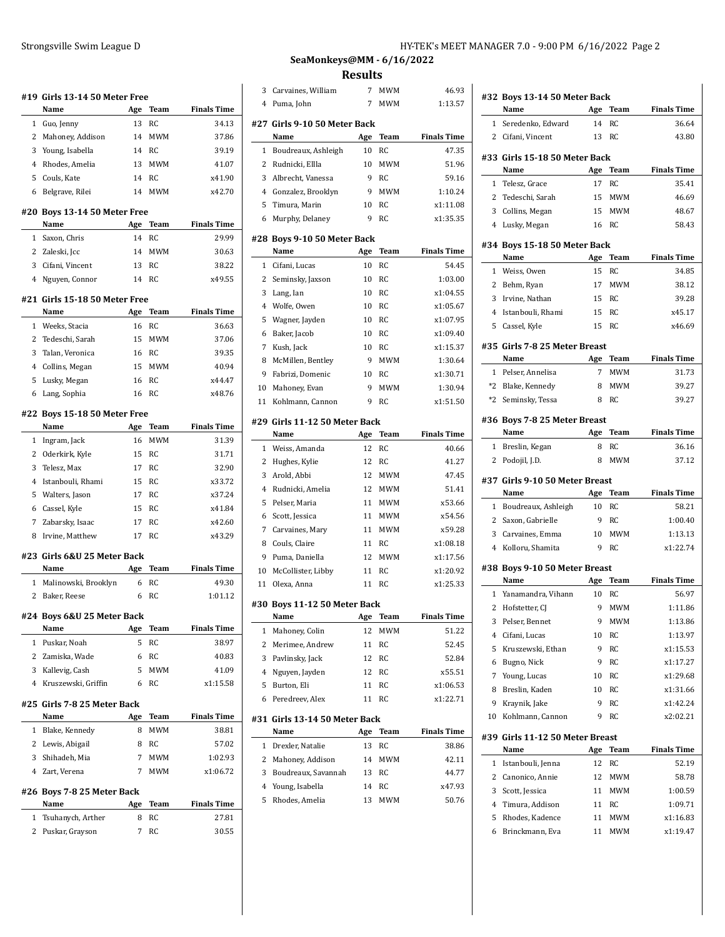|                | #19 Girls 13-14 50 Meter Free         |        |                   |                             |
|----------------|---------------------------------------|--------|-------------------|-----------------------------|
|                | Name                                  | Age    | Team              | <b>Finals Time</b>          |
| 1              | Guo, Jenny                            | 13     | <b>RC</b>         | 34.13                       |
| 2              | Mahoney, Addison                      | 14     | <b>MWM</b>        | 37.86                       |
| 3              | Young, Isabella                       | 14     | RC                | 39.19                       |
| 4              | Rhodes, Amelia                        | 13     | <b>MWM</b>        | 41.07                       |
| 5              | Couls, Kate                           | 14     | <b>RC</b>         | x41.90                      |
| 6              | Belgrave, Rilei                       | 14     | <b>MWM</b>        | x42.70                      |
|                | #20 Boys 13-14 50 Meter Free<br>Name  | Age    | Team              | <b>Finals Time</b>          |
| 1              | Saxon, Chris                          | 14     | <b>RC</b>         | 29.99                       |
| $\overline{2}$ | Zaleski, Jcc                          | 14     | <b>MWM</b>        | 30.63                       |
| 3              | Cifani, Vincent                       | 13     | RC                | 38.22                       |
| 4              | Nguyen, Connor                        | 14     | RC                | x49.55                      |
|                | #21 Girls 15-18 50 Meter Free         |        |                   |                             |
|                | Name                                  | Age    | <b>Team</b>       | <b>Finals Time</b>          |
| 1              | Weeks, Stacia                         | 16     | <b>RC</b>         | 36.63                       |
| 2              | Tedeschi, Sarah                       | 15     | <b>MWM</b>        | 37.06                       |
| 3              | Talan, Veronica                       | 16     | RC                | 39.35                       |
| 4              | Collins, Megan                        | 15     | <b>MWM</b>        | 40.94                       |
| 5              | Lusky, Megan                          | 16     | RC                | x44.47                      |
| 6              | Lang, Sophia                          | 16     | <b>RC</b>         | x48.76                      |
|                | #22 Boys 15-18 50 Meter Free          |        |                   |                             |
|                | Name                                  | Age    | Team              | <b>Finals Time</b>          |
| 1              | Ingram, Jack                          | 16     | <b>MWM</b>        | 31.39                       |
| 2              | Oderkirk, Kyle                        | 15     | RC                | 31.71                       |
| 3              | Telesz, Max                           | 17     | <b>RC</b>         | 32.90                       |
| 4              | Istanbouli, Rhami                     | 15     | RC                | x33.72                      |
| 5              | Walters, Jason                        | 17     | RC                | x37.24                      |
| 6              | Cassel, Kyle                          | 15     | RC                | x41.84                      |
| 7              | Zabarsky, Isaac                       | 17     | RC                | x42.60                      |
| 8              | Irvine, Matthew                       | 17     | RC                | x43.29                      |
|                | #23 Girls 6&U 25 Meter Back           |        |                   |                             |
|                | Name                                  | Age    | Team              | <b>Finals Time</b>          |
| 1              | Malinowski, Brooklyn                  | 6      | RC                | 49.30                       |
| $\overline{c}$ | Baker, Reese                          | 6      | <b>RC</b>         | 1:01.12                     |
|                | #24 Boys 6&U 25 Meter Back<br>Name    |        |                   |                             |
| 1              |                                       | Age    | Team<br><b>RC</b> | <b>Finals Time</b><br>38.97 |
| $\overline{2}$ | Puskar, Noah<br>Zamiska, Wade         | 5<br>6 | <b>RC</b>         |                             |
| 3              |                                       | 5      | <b>MWM</b>        | 40.83<br>41.09              |
| 4              | Kallevig, Cash<br>Kruszewski, Griffin | 6      | RC                | x1:15.58                    |
|                |                                       |        |                   |                             |
|                | #25 Girls 7-8 25 Meter Back<br>Name   | Age    | Team              | <b>Finals Time</b>          |
| 1              | Blake, Kennedy                        | 8      | <b>MWM</b>        | 38.81                       |
| 2              | Lewis, Abigail                        | 8      | RC                | 57.02                       |
| 3              | Shihadeh, Mia                         | 7      | <b>MWM</b>        | 1:02.93                     |
| 4              | Zart, Verena                          | 7      | MWM               | x1:06.72                    |
|                | #26 Boys 7-8 25 Meter Back            |        |                   |                             |
|                | Name                                  | Age    | Team              | <b>Finals Time</b>          |
| 1              | Tsuhanych, Arther                     | 8      | RC                | 27.81                       |
| 2              | Puskar, Grayson                       | 7      | RC                | 30.55                       |

**SeaMonkeys@MM - 6/16/2022 Results**

| 3      | Carvaines, William                | 7        | MWM        | 46.93              |
|--------|-----------------------------------|----------|------------|--------------------|
| 4      | Puma, John                        | 7        | <b>MWM</b> | 1:13.57            |
|        | #27  Girls 9-10 50 Meter Back     |          |            |                    |
|        | Name                              | Age      | Team       | <b>Finals Time</b> |
| 1      | Boudreaux, Ashleigh               | 10       | RC         | 47.35              |
| 2      | Rudnicki, Ellla                   | 10       | <b>MWM</b> | 51.96              |
| 3      | Albrecht, Vanessa                 | 9        | RC         | 59.16              |
| 4      | Gonzalez, Brooklyn                | 9        | MWM        | 1:10.24            |
| 5      | Timura, Marin                     | 10       | RC         | x1:11.08           |
| 6      | Murphy, Delaney                   | 9        | RC         | x1:35.35           |
|        | #28 Boys 9-10 50 Meter Back       |          |            |                    |
|        | Name                              | Age      | Team       | <b>Finals Time</b> |
| 1      | Cifani, Lucas                     | 10       | RC         | 54.45              |
| 2      | Seminsky, Jaxson                  | 10       | RC         | 1:03.00            |
| 3      | Lang, Ian                         | 10       | RC         | x1:04.55           |
| 4      | Wolfe, Owen                       | 10       | RC         | x1:05.67           |
| 5      | Wagner, Jayden                    | 10       | RC         | x1:07.95           |
| 6      | Baker, Jacob                      | 10       | RC         | x1:09.40           |
| 7      | Kush, Jack                        | 10       | RC         | x1:15.37           |
| 8      | McMillen, Bentley                 | 9        | <b>MWM</b> | 1:30.64            |
| 9      | Fabrizi, Domenic                  | 10       | RC         | x1:30.71           |
| 10     | Mahoney, Evan                     | 9        | MWM        | 1:30.94            |
| 11     | Kohlmann, Cannon                  | 9        | RC         | x1:51.50           |
|        | #29 Girls 11-12 50 Meter Back     |          |            |                    |
|        | Name                              | Age      | Team       | <b>Finals Time</b> |
| 1      | Weiss, Amanda                     | 12       | RC         | 40.66              |
| 2      | Hughes, Kylie                     | 12       | RC         | 41.27              |
| 3      | Arold, Abbi                       | 12       | <b>MWM</b> | 47.45              |
| 4      | Rudnicki, Amelia                  | 12       | <b>MWM</b> | 51.41              |
| 5      | Pelser, Maria                     | 11       | MWM        | x53.66             |
| 6      | Scott, Jessica                    | 11       | MWM        | x54.56             |
| 7      | Carvaines, Mary                   | 11       | <b>MWM</b> | x59.28             |
| 8      | Couls, Claire                     | 11       | RC         | x1:08.18           |
| 9      | Puma, Daniella                    | 12       | MWM        | x1:17.56           |
| 10     | McCollister, Libby                | 11       | RC         | x1:20.92           |
| 11     | Olexa, Anna                       | 11       | RC         | x1:25.33           |
|        | #30 Boys 11-12 50 Meter Back      |          |            |                    |
|        | Name                              |          | Age Team   | <b>Finals Time</b> |
| 1      |                                   |          |            |                    |
|        | Mahoney, Colin                    | 12       | MWM        | 51.22              |
| 2      | Merimee, Andrew                   | 11       | RC         | 52.45              |
| 3      | Pavlinsky, Jack                   | 12       | RC         | 52.84              |
| 4      | Nguyen, Jayden                    | 12       | RC         | x55.51             |
| 5      | Burton, Eli                       | 11       | RC         | x1:06.53           |
| 6      | Peredreev, Alex                   | 11       | <b>RC</b>  | x1:22.71           |
|        | #31  Girls 13-14 50 Meter Back    |          |            |                    |
|        | Name                              | Age      | Team       | <b>Finals Time</b> |
| 1      | Drexler, Natalie                  | 13       | RC         | 38.86              |
| 2      | Mahoney, Addison                  | 14       | MWM        | 42.11              |
| 3      | Boudreaux, Savannah               | 13       | RC         | 44.77              |
| 4<br>5 | Young, Isabella<br>Rhodes, Amelia | 14<br>13 | RC<br>MWM  | x47.93<br>50.76    |

|                | #32 Boys 13-14 50 Meter Back            |         |             |                     |
|----------------|-----------------------------------------|---------|-------------|---------------------|
|                | Name                                    | Age     | Team        | <b>Finals Time</b>  |
| $\mathbf{1}$   | Seredenko, Edward                       | 14      | <b>RC</b>   | 36.64               |
| $\mathbf{2}$   | Cifani, Vincent                         | 13      | RC          | 43.80               |
|                | #33 Girls 15-18 50 Meter Back           |         |             |                     |
|                | Name                                    | Age     | <b>Team</b> | <b>Finals Time</b>  |
|                | 1 Telesz, Grace                         | 17      | RC          | 35.41               |
|                | 2 Tedeschi, Sarah                       | 15      | <b>MWM</b>  | 46.69               |
|                | 3 Collins, Megan                        |         | 15 MWM      | 48.67               |
|                | 4 Lusky, Megan                          |         | 16 RC       | 58.43               |
|                |                                         |         |             |                     |
|                | #34 Boys 15-18 50 Meter Back<br>Name    | Age     | Team        | <b>Finals Time</b>  |
| 1              | Weiss, Owen                             | 15      | RC          | 34.85               |
| $\overline{2}$ | Behm, Ryan                              | 17      | <b>MWM</b>  | 38.12               |
|                | 3 Irvine, Nathan                        | 15      | <b>RC</b>   | 39.28               |
| 4              | Istanbouli, Rhami                       | 15      | RC          | x45.17              |
| 5              | Cassel, Kyle                            | 15      | RC          | x46.69              |
|                |                                         |         |             |                     |
|                | #35 Girls 7-8 25 Meter Breast           |         |             |                     |
|                | Name                                    | Age     | Team        | <b>Finals Time</b>  |
|                | 1 Pelser, Annelisa                      | 7       | <b>MWM</b>  | 31.73               |
|                | *2 Blake, Kennedy                       | 8       | <b>MWM</b>  | 39.27               |
|                | *2 Seminsky, Tessa                      | 8       | RC          | 39.27               |
|                | #36 Boys 7-8 25 Meter Breast            |         |             |                     |
|                |                                         |         | Team        | <b>Finals Time</b>  |
|                | Name                                    | Age     |             |                     |
|                | 1 Breslin, Kegan                        | 8       | RC          | 36.16               |
| 2              | Podojil, J.D.                           | 8       | <b>MWM</b>  | 37.12               |
|                |                                         |         |             |                     |
|                | #37 Girls 9-10 50 Meter Breast          |         |             |                     |
|                | Name                                    | Age     | Team        | <b>Finals Time</b>  |
|                | 1 Boudreaux, Ashleigh                   | 10<br>9 | RC          | 58.21               |
|                | 2 Saxon, Gabrielle                      |         | RC          | 1:00.40             |
| 3<br>4         | Carvaines, Emma                         | 10<br>9 | MWM<br>RC.  | 1:13.13<br>x1:22.74 |
|                | Kolloru, Shamita                        |         |             |                     |
|                | #38 Boys 9-10 50 Meter Breast           |         |             |                     |
|                | Name                                    |         | Age Team    | <b>Finals Time</b>  |
|                | 1 Yanamandra, Vihann                    | 10      | RC          | 56.97               |
|                | 2 Hofstetter, CJ                        | 9       | <b>MWM</b>  | 1:11.86             |
| 3              | Pelser, Bennet                          | 9       | <b>MWM</b>  | 1:13.86             |
| 4              | Cifani, Lucas                           | 10      | RC          | 1:13.97             |
| 5              | Kruszewski, Ethan                       | 9       | RC          | x1:15.53            |
| 6              | Bugno, Nick                             | 9       | RC          | x1:17.27            |
| 7              | Young, Lucas                            | 10      | RC          | x1:29.68            |
| 8              | Breslin, Kaden                          | 10      | <b>RC</b>   | x1:31.66            |
| 9              | Kraynik, Jake                           | 9       | RC          | x1:42.24            |
| 10             | Kohlmann, Cannon                        | 9       | RC          | x2:02.21            |
|                |                                         |         |             |                     |
|                | #39 Girls 11-12 50 Meter Breast<br>Name | Age     | Team        | <b>Finals Time</b>  |
| $\mathbf{1}$   | Istanbouli, Jenna                       | 12      | RC          | 52.19               |
| $\mathbf{2}$   | Canonico, Annie                         | 12      | MWM         | 58.78               |
| 3              | Scott, Jessica                          | 11      | MWM         | 1:00.59             |
| 4              | Timura, Addison                         | 11      | RC          | 1:09.71             |
| 5              | Rhodes, Kadence                         | 11      | MWM         | x1:16.83            |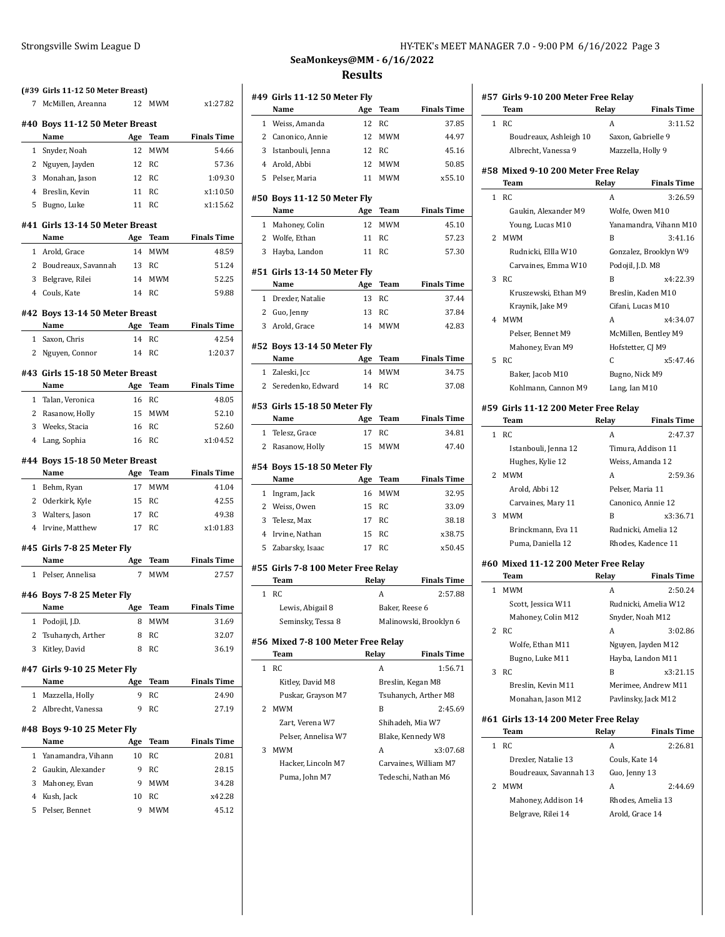| 7            | (#39 Girls 11-12 50 Meter Breast)<br>McMillen, Areanna | 12      | <b>MWM</b>       | x1:27.82           |
|--------------|--------------------------------------------------------|---------|------------------|--------------------|
|              | #40 Boys 11-12 50 Meter Breast                         |         |                  |                    |
|              | Name                                                   | Age     | Team             | <b>Finals Time</b> |
| $\mathbf{1}$ | Snyder, Noah                                           | 12      | <b>MWM</b>       | 54.66              |
| 2            | Nguyen, Jayden                                         | 12      | RC               | 57.36              |
| 3            | Monahan, Jason                                         |         | 12 RC            | 1:09.30            |
| 4            | Breslin, Kevin                                         | 11      | RC               | x1:10.50           |
| 5            | Bugno, Luke                                            | 11      | RC               | x1:15.62           |
|              | #41 Girls 13-14 50 Meter Breast                        |         |                  |                    |
|              | Name                                                   | Age     | Team             | <b>Finals Time</b> |
| 1            | Arold, Grace                                           | 14      | <b>MWM</b>       | 48.59              |
| 2            | Boudreaux, Savannah                                    | 13      | RC               | 51.24              |
| 3            | Belgrave, Rilei                                        | 14      | <b>MWM</b>       | 52.25              |
|              | 4 Couls, Kate                                          |         | 14 RC            | 59.88              |
|              | #42 Bovs 13-14 50 Meter Breast                         |         |                  |                    |
|              | Name                                                   | Age     | Team             | <b>Finals Time</b> |
| $\mathbf 1$  | Saxon, Chris                                           | 14      | RC               | 42.54              |
| 2            | Nguyen, Connor                                         | 14      | RC               | 1:20.37            |
|              | #43 Girls 15-18 50 Meter Breast                        |         |                  |                    |
|              | Name                                                   | Age     | Team             | <b>Finals Time</b> |
| 1            | Talan, Veronica                                        | 16      | RC               | 48.05              |
| 2            | Rasanow, Holly                                         | 15      | MWM              | 52.10              |
| 3            | Weeks, Stacia                                          | 16      | RC               | 52.60              |
| 4            | Lang, Sophia                                           | 16      | RC               | x1:04.52           |
|              | #44 Boys 15-18 50 Meter Breast                         |         |                  |                    |
|              |                                                        |         |                  |                    |
|              | Name                                                   | Age     | Team             | <b>Finals Time</b> |
| $\mathbf 1$  | Behm, Ryan                                             | 17      | <b>MWM</b>       |                    |
|              | 2 Oderkirk, Kyle                                       | 15      | RC               | 42.55              |
| 3            | Walters, Jason                                         | 17      | RC               | 49.38              |
| 4            | Irvine, Matthew                                        | 17      | RC               | x1:01.83           |
|              | #45 Girls 7-8 25 Meter Fly                             |         |                  | 41.04              |
|              | Name                                                   | Age     | Team             | <b>Finals Time</b> |
| 1            | Pelser, Annelisa                                       | 7       | <b>MWM</b>       | 27.57              |
|              | #46 Boys 7-8 25 Meter Fly                              |         |                  |                    |
|              | Name                                                   | Age     | <b>Team</b>      | Finals Time        |
| 1            | Podojil, J.D.                                          | 8       | MWM              | 31.69              |
| 2            | Tsuhanych, Arther                                      | 8       | RC               | 32.07              |
| 3            | Kitley, David                                          | 8       | RC               | 36.19              |
|              | #47 Girls 9-10 25 Meter Fly                            |         |                  |                    |
|              | Name                                                   | Age     | Team             | <b>Finals Time</b> |
| 1<br>2       | Mazzella, Holly<br>Albrecht, Vanessa                   | 9<br>9  | RC<br>RC         | 24.90<br>27.19     |
|              |                                                        |         |                  |                    |
|              | #48 Boys 9-10 25 Meter Fly                             |         |                  |                    |
|              | Name                                                   | Age     | Team             | <b>Finals Time</b> |
| 1            | Yanamandra, Vihann                                     | 10      | RC               | 20.81              |
| 2            | Gaukin, Alexander                                      | 9<br>9  | RC               | 28.15              |
| 3            | Mahoney, Evan                                          |         | <b>MWM</b>       | 34.28              |
| 4<br>5       | Kush, Jack<br>Pelser, Bennet                           | 10<br>9 | RC<br><b>MWM</b> | x42.28<br>45.12    |

## Strongsville Swim League D<br>HY-TEK's MEET MANAGER 7.0 - 9:00 PM 6/16/2022 Page 3

# **SeaMonkeys@MM - 6/16/2022 Results**

|              | #49 Girls 11-12 50 Meter Fly<br>Name       | Age   | Team           | <b>Finals Time</b>     |
|--------------|--------------------------------------------|-------|----------------|------------------------|
| 1            | Weiss, Amanda                              | 12    | <b>RC</b>      | 37.85                  |
| 2            | Canonico, Annie                            | 12    | <b>MWM</b>     | 44.97                  |
| 3            | Istanbouli, Jenna                          | 12    | <b>RC</b>      | 45.16                  |
|              | 4 Arold, Abbi                              | 12    | <b>MWM</b>     | 50.85                  |
| 5            | Pelser, Maria                              | 11    | <b>MWM</b>     | x55.10                 |
|              |                                            |       |                |                        |
|              | #50 Boys 11-12 50 Meter Fly                |       |                |                        |
|              | Name                                       | Age   | <b>Team</b>    | <b>Finals Time</b>     |
| $\mathbf{1}$ | Mahoney, Colin                             | 12    | <b>MWM</b>     | 45.10                  |
|              | 2 Wolfe, Ethan                             | 11    | <b>RC</b>      | 57.23                  |
| 3            | Hayba, Landon                              | 11    | <b>RC</b>      | 57.30                  |
|              | #51 Girls 13-14 50 Meter Fly               |       |                |                        |
|              | Name                                       | Age   | Team           | <b>Finals Time</b>     |
| $\mathbf{1}$ | Drexler, Natalie                           | 13    | <b>RC</b>      | 37.44                  |
|              | 2 Guo, Jenny                               | 13    | <b>RC</b>      | 37.84                  |
|              | 3 Arold, Grace                             | 14    | <b>MWM</b>     | 42.83                  |
|              |                                            |       |                |                        |
|              | #52 Boys 13-14 50 Meter Fly<br>Name        | Age   | Team           | <b>Finals Time</b>     |
|              | 1 Zaleski, Jcc                             | 14    | <b>MWM</b>     | 34.75                  |
|              |                                            | 14    | RC             |                        |
|              | 2 Seredenko, Edward                        |       |                | 37.08                  |
|              | #53 Girls 15-18 50 Meter Fly               |       |                |                        |
|              | Name                                       |       | Age Team       | <b>Finals Time</b>     |
| $\mathbf{1}$ | Telesz, Grace                              | 17    | RC             | 34.81                  |
| 2            | Rasanow, Holly                             | 15    | <b>MWM</b>     | 47.40                  |
|              | #54 Boys 15-18 50 Meter Fly                |       |                |                        |
|              | Name                                       | Age   | Team           | <b>Finals Time</b>     |
| $\mathbf{1}$ | Ingram, Jack                               | 16    | <b>MWM</b>     | 32.95                  |
| 2            | Weiss, Owen                                | 15    | RC             | 33.09                  |
| 3            | Telesz, Max                                | 17    | <b>RC</b>      | 38.18                  |
| $4^{\circ}$  | Irvine, Nathan                             | 15    | RC             | x38.75                 |
| 5            | Zabarsky, Isaac                            | 17    | <b>RC</b>      | x50.45                 |
|              |                                            |       |                |                        |
|              | #55 Girls 7-8 100 Meter Free Relay<br>Team | Relay |                | <b>Finals Time</b>     |
| $\mathbf{1}$ |                                            |       |                |                        |
|              | <b>RC</b>                                  |       | A              | 2:57.88                |
|              | Lewis, Abigail 8                           |       | Baker, Reese 6 |                        |
|              | Seminsky, Tessa 8                          |       |                | Malinowski, Brooklyn 6 |
|              | #56 Mixed 7-8 100 Meter Free Relay         |       |                |                        |
|              | <b>Team</b>                                | Relay |                | <b>Finals Time</b>     |
| 1            | <b>RC</b>                                  |       | A              | 1:56.71                |
|              | Kitley, David M8                           |       |                | Breslin, Kegan M8      |
|              | Puskar, Grayson M7                         |       |                | Tsuhanych, Arther M8   |
| 2            | <b>MWM</b>                                 |       | B              | 2:45.69                |
|              | Zart, Verena W7                            |       |                | Shihadeh, Mia W7       |
|              | Pelser, Annelisa W7                        |       |                | Blake, Kennedy W8      |
| 3            | <b>MWM</b>                                 |       | A              | x3:07.68               |
|              | Hacker, Lincoln M7                         |       |                | Carvaines, William M7  |
|              | Puma, John M7                              |       |                | Tedeschi, Nathan M6    |
|              |                                            |       |                |                        |

|   | #57 Girls 9-10 200 Meter Free Relay          |                  |                        |
|---|----------------------------------------------|------------------|------------------------|
|   | Team                                         | Relay            | <b>Finals Time</b>     |
| 1 | RC                                           | A                | 3:11.52                |
|   | Boudreaux, Ashleigh 10                       |                  | Saxon, Gabrielle 9     |
|   | Albrecht, Vanessa 9                          |                  | Mazzella, Holly 9      |
|   | #58 Mixed 9-10 200 Meter Free Relay          |                  |                        |
|   | Team                                         | Relay            | <b>Finals Time</b>     |
| 1 | <b>RC</b>                                    | A                | 3:26.59                |
|   | Gaukin, Alexander M9                         |                  | Wolfe, Owen M10        |
|   | Young, Lucas M10                             |                  | Yanamandra, Vihann M10 |
| 2 | <b>MWM</b>                                   | B                | 3:41.16                |
|   | Rudnicki, Ellla W10                          |                  | Gonzalez, Brooklyn W9  |
|   | Carvaines, Emma W10                          | Podojil, J.D. M8 |                        |
| 3 | RC                                           | B                | x4:22.39               |
|   | Kruszewski, Ethan M9                         |                  | Breslin, Kaden M10     |
|   | Kraynik, Jake M9                             |                  | Cifani, Lucas M10      |
| 4 | MWM                                          | A                | x4:34.07               |
|   | Pelser, Bennet M9                            |                  | McMillen, Bentley M9   |
|   | Mahoney, Evan M9                             |                  | Hofstetter, CJ M9      |
| 5 | RC                                           | C                | x5:47.46               |
|   | Baker, Jacob M10                             |                  | Bugno, Nick M9         |
|   | Kohlmann, Cannon M9                          | Lang, Ian M10    |                        |
|   |                                              |                  |                        |
|   | #59 Girls 11-12 200 Meter Free Relay<br>Team | Relay            | <b>Finals Time</b>     |
| 1 | RC                                           | A                | 2:47.37                |
|   | Istanbouli, Jenna 12                         |                  | Timura, Addison 11     |
|   | Hughes, Kylie 12                             |                  | Weiss, Amanda 12       |
| 2 | MWM                                          | A                | 2:59.36                |
|   | Arold, Abbi 12                               |                  | Pelser, Maria 11       |
|   | Carvaines, Mary 11                           |                  | Canonico, Annie 12     |
| 3 | MWM                                          | B                | x3:36.71               |
|   | Brinckmann, Eva 11                           |                  | Rudnicki, Amelia 12    |
|   | Puma, Daniella 12                            |                  | Rhodes, Kadence 11     |
|   |                                              |                  |                        |
|   | #60 Mixed 11-12 200 Meter Free Relay         |                  |                        |
|   | Team                                         | Relay            | <b>Finals Time</b>     |
| 1 | <b>MWM</b>                                   | A                | 2:50.24                |
|   | Scott, Jessica W11                           |                  | Rudnicki, Amelia W12   |
|   | Mahoney, Colin M12                           |                  | Snyder, Noah M12       |
|   | 2 RC                                         | A                | 3:02.86                |
|   | Wolfe, Ethan M11                             |                  | Nguyen, Jayden M12     |
|   | Bugno, Luke M11                              |                  | Hayba, Landon M11      |
| 3 | RC                                           | B                | x3:21.15               |
|   | Breslin, Kevin M11                           |                  | Merimee, Andrew M11    |
|   | Monahan, Jason M12                           |                  | Pavlinsky, Jack M12    |
|   | #61 Girls 13-14 200 Meter Free Relay<br>Team | Relay            | <b>Finals Time</b>     |
| 1 | RC                                           | A                | 2:26.81                |
|   | Drexler, Natalie 13                          | Couls, Kate 14   |                        |
|   | Boudreaux, Savannah 13                       | Guo, Jenny 13    |                        |
| 2 | <b>MWM</b>                                   | A                | 2:44.69                |
|   | Mahoney, Addison 14                          |                  | Rhodes, Amelia 13      |
|   | Belgrave, Rilei 14                           |                  | Arold, Grace 14        |
|   |                                              |                  |                        |